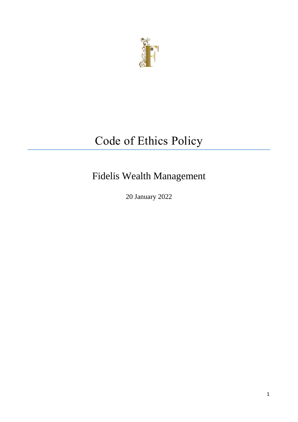

# Code of Ethics Policy

Fidelis Wealth Management

20 January 2022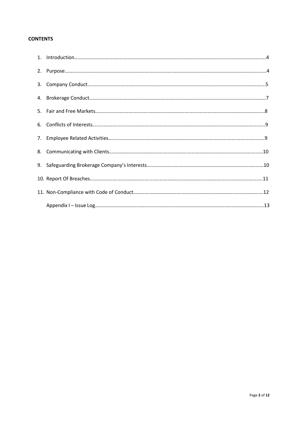# **CONTENTS**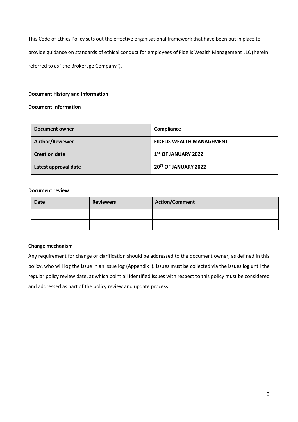This Code of Ethics Policy sets out the effective organisational framework that have been put in place to provide guidance on standards of ethical conduct for employees of Fidelis Wealth Management LLC (herein referred to as "the Brokerage Company").

# **Document History and Information**

# **Document Information**

| <b>Document owner</b>  | Compliance                       |
|------------------------|----------------------------------|
| <b>Author/Reviewer</b> | <b>FIDELIS WEALTH MANAGEMENT</b> |
| <b>Creation date</b>   | $1ST$ OF JANUARY 2022            |
| Latest approval date   | 20 <sup>ST</sup> OF JANUARY 2022 |

# **Document review**

| <b>Date</b> | <b>Reviewers</b> | <b>Action/Comment</b> |
|-------------|------------------|-----------------------|
|             |                  |                       |
|             |                  |                       |

# **Change mechanism**

Any requirement for change or clarification should be addressed to the document owner, as defined in this policy, who will log the issue in an issue log (Appendix I). Issues must be collected via the issues log until the regular policy review date, at which point all identified issues with respect to this policy must be considered and addressed as part of the policy review and update process.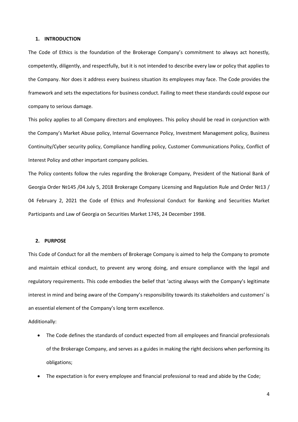## **1. INTRODUCTION**

The Code of Ethics is the foundation of the Brokerage Company's commitment to always act honestly, competently, diligently, and respectfully, but it is not intended to describe every law or policy that applies to the Company. Nor does it address every business situation its employees may face. The Code provides the framework and sets the expectations for business conduct. Failing to meet these standards could expose our company to serious damage.

This policy applies to all Company directors and employees. This policy should be read in conjunction with the Company's Market Abuse policy, Internal Governance Policy, Investment Management policy, Business Continuity/Cyber security policy, Compliance handling policy, Customer Communications Policy, Conflict of Interest Policy and other important company policies.

The Policy contents follow the rules regarding the Brokerage Company, President of the National Bank of Georgia Order №145 /04 July 5, 2018 Brokerage Company Licensing and Regulation Rule and Order №13 / 04 February 2, 2021 the Code of Ethics and Professional Conduct for Banking and Securities Market Participants and Law of Georgia on Securities Market 1745, 24 December 1998.

## **2. PURPOSE**

This Code of Conduct for all the members of Brokerage Company is aimed to help the Company to promote and maintain ethical conduct, to prevent any wrong doing, and ensure compliance with the legal and regulatory requirements. This code embodies the belief that 'acting always with the Company's legitimate interest in mind and being aware of the Company's responsibility towards its stakeholders and customers' is an essential element of the Company's long term excellence.

Additionally:

- The Code defines the standards of conduct expected from all employees and financial professionals of the Brokerage Company, and serves as a guides in making the right decisions when performing its obligations;
- The expectation is for every employee and financial professional to read and abide by the Code;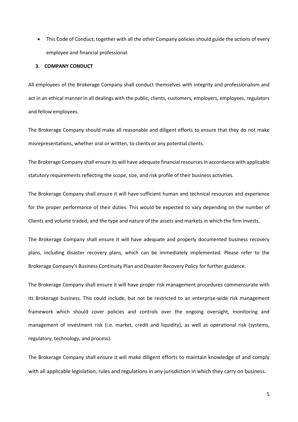This Code of Conduct, together with all the other Company policies should guide the actions of every employee and financial professional.

## **3. COMPANY CONDUCT**

All employees of the Brokerage Company shall conduct themselves with integrity and professionalism and act in an ethical manner in all dealings with the public, clients, customers, employers, employees, regulators and fellow employees.

The Brokerage Company should make all reasonable and diligent efforts to ensure that they do not make misrepresentations, whether oral or written, to clients or any potential clients.

The Brokerage Company shall ensure its will have adequate financial resources in accordance with applicable statutory requirements reflecting the scope, size, and risk profile of their business activities.

The Brokerage Company shall ensure it will have sufficient human and technical resources and experience for the proper performance of their duties. This would be expected to vary depending on the number of Clients and volume traded, and the type and nature of the assets and markets in which the firm invests.

The Brokerage Company shall ensure it will have adequate and properly documented business recovery plans, including disaster recovery plans, which can be immediately implemented. Please refer to the Brokerage Company's Business Continuity Plan and Disaster Recovery Policy for further guidance.

The Brokerage Company shall ensure it will have proper risk management procedures commensurate with its Brokerage business. This could include, but not be restricted to an enterprise-wide risk management framework which should cover policies and controls over the ongoing oversight, monitoring and management of investment risk (i.e. market, credit and liquidity), as well as operational risk (systems, regulatory, technology, and process).

The Brokerage Company shall ensure it will make diligent efforts to maintain knowledge of and comply with all applicable legislation, rules and regulations in any jurisdiction in which they carry on business.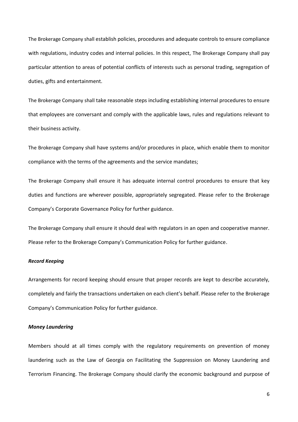The Brokerage Company shall establish policies, procedures and adequate controls to ensure compliance with regulations, industry codes and internal policies. In this respect, The Brokerage Company shall pay particular attention to areas of potential conflicts of interests such as personal trading, segregation of duties, gifts and entertainment.

The Brokerage Company shall take reasonable steps including establishing internal procedures to ensure that employees are conversant and comply with the applicable laws, rules and regulations relevant to their business activity.

The Brokerage Company shall have systems and/or procedures in place, which enable them to monitor compliance with the terms of the agreements and the service mandates;

The Brokerage Company shall ensure it has adequate internal control procedures to ensure that key duties and functions are wherever possible, appropriately segregated. Please refer to the Brokerage Company's Corporate Governance Policy for further guidance.

The Brokerage Company shall ensure it should deal with regulators in an open and cooperative manner. Please refer to the Brokerage Company's Communication Policy for further guidance.

# *Record Keeping*

Arrangements for record keeping should ensure that proper records are kept to describe accurately, completely and fairly the transactions undertaken on each client's behalf. Please refer to the Brokerage Company's Communication Policy for further guidance.

## *Money Laundering*

Members should at all times comply with the regulatory requirements on prevention of money laundering such as the Law of Georgia on Facilitating the Suppression on Money Laundering and Terrorism Financing. The Brokerage Company should clarify the economic background and purpose of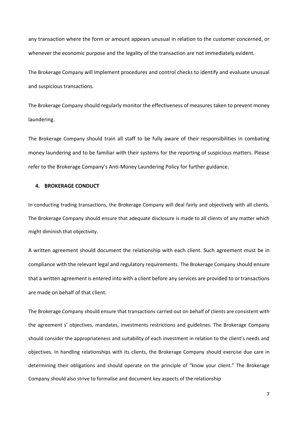any transaction where the form or amount appears unusual in relation to the customer concerned, or whenever the economic purpose and the legality of the transaction are not immediately evident.

The Brokerage Company will implement procedures and control checks to identify and evaluate unusual and suspicious transactions.

The Brokerage Company should regularly monitor the effectiveness of measures taken to prevent money laundering.

The Brokerage Company should train all staff to be fully aware of their responsibilities in combating money laundering and to be familiar with their systems for the reporting of suspicious matters. Please refer to the Brokerage Company's Anti-Money Laundering Policy for further guidance.

# **4. BROKERAGE CONDUCT**

In conducting trading transactions, the Brokerage Company will deal fairly and objectively with all clients. The Brokerage Company should ensure that adequate disclosure is made to all clients of any matter which might diminish that objectivity.

A written agreement should document the relationship with each client. Such agreement must be in compliance with the relevant legal and regulatory requirements. The Brokerage Company should ensure that a written agreement is entered into with a client before any services are provided to or transactions are made on behalf of that client.

The Brokerage Company should ensure that transactions carried out on behalf of clients are consistent with the agreement s' objectives, mandates, investments restrictions and guidelines. The Brokerage Company should consider the appropriateness and suitability of each investment in relation to the client's needs and objectives. In handling relationships with its clients, the Brokerage Company should exercise due care in determining their obligations and should operate on the principle of "know your client." The Brokerage Company should also strive to formalise and document key aspects of the relationship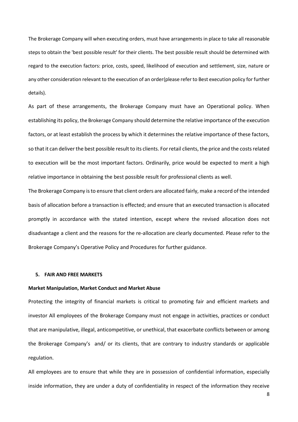The Brokerage Company will when executing orders, must have arrangements in place to take all reasonable steps to obtain the 'best possible result' for their clients. The best possible result should be determined with regard to the execution factors: price, costs, speed, likelihood of execution and settlement, size, nature or any other consideration relevant to the execution of an order(please refer to Best execution policy for further details).

As part of these arrangements, the Brokerage Company must have an Operational policy. When establishing its policy, the Brokerage Company should determine the relative importance of the execution factors, or at least establish the process by which it determines the relative importance of these factors, so that it can deliver the best possible result to its clients. For retail clients, the price and the costs related to execution will be the most important factors. Ordinarily, price would be expected to merit a high relative importance in obtaining the best possible result for professional clients as well.

The Brokerage Company is to ensure that client orders are allocated fairly, make a record of the intended basis of allocation before a transaction is effected; and ensure that an executed transaction is allocated promptly in accordance with the stated intention, except where the revised allocation does not disadvantage a client and the reasons for the re-allocation are clearly documented. Please refer to the Brokerage Company's Operative Policy and Procedures for further guidance.

## **5. FAIR AND FREE MARKETS**

#### **Market Manipulation, Market Conduct and Market Abuse**

Protecting the integrity of financial markets is critical to promoting fair and efficient markets and investor All employees of the Brokerage Company must not engage in activities, practices or conduct that are manipulative, illegal, anticompetitive, or unethical, that exacerbate conflicts between or among the Brokerage Company's and/ or its clients, that are contrary to industry standards or applicable regulation.

All employees are to ensure that while they are in possession of confidential information, especially inside information, they are under a duty of confidentiality in respect of the information they receive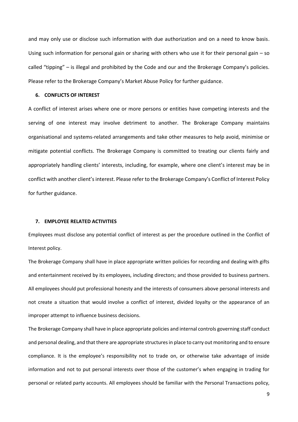and may only use or disclose such information with due authorization and on a need to know basis. Using such information for personal gain or sharing with others who use it for their personal gain – so called "tipping" – is illegal and prohibited by the Code and our and the Brokerage Company's policies. Please refer to the Brokerage Company's Market Abuse Policy for further guidance.

#### **6. CONFLICTS OF INTEREST**

A conflict of interest arises where one or more persons or entities have competing interests and the serving of one interest may involve detriment to another. The Brokerage Company maintains organisational and systems-related arrangements and take other measures to help avoid, minimise or mitigate potential conflicts. The Brokerage Company is committed to treating our clients fairly and appropriately handling clients' interests, including, for example, where one client's interest may be in conflict with another client's interest. Please refer to the Brokerage Company's Conflict of Interest Policy for further guidance.

## **7. EMPLOYEE RELATED ACTIVITIES**

Employees must disclose any potential conflict of interest as per the procedure outlined in the Conflict of Interest policy.

The Brokerage Company shall have in place appropriate written policies for recording and dealing with gifts and entertainment received by its employees, including directors; and those provided to business partners. All employees should put professional honesty and the interests of consumers above personal interests and not create a situation that would involve a conflict of interest, divided loyalty or the appearance of an improper attempt to influence business decisions.

The Brokerage Company shall have in place appropriate policies and internal controls governing staff conduct and personal dealing, and that there are appropriate structures in place to carry out monitoring and to ensure compliance. It is the employee's responsibility not to trade on, or otherwise take advantage of inside information and not to put personal interests over those of the customer's when engaging in trading for personal or related party accounts. All employees should be familiar with the Personal Transactions policy,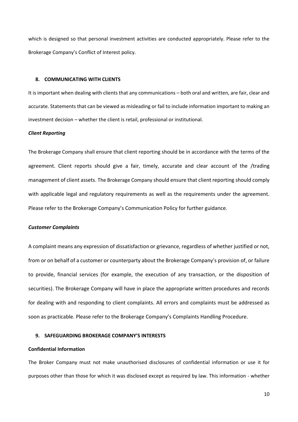which is designed so that personal investment activities are conducted appropriately. Please refer to the Brokerage Company's Conflict of Interest policy.

## **8. COMMUNICATING WITH CLIENTS**

It is important when dealing with clients that any communications – both oral and written, are fair, clear and accurate. Statements that can be viewed as misleading or fail to include information important to making an investment decision – whether the client is retail, professional or institutional.

#### *Client Reporting*

The Brokerage Company shall ensure that client reporting should be in accordance with the terms of the agreement. Client reports should give a fair, timely, accurate and clear account of the /trading management of client assets. The Brokerage Company should ensure that client reporting should comply with applicable legal and regulatory requirements as well as the requirements under the agreement. Please refer to the Brokerage Company's Communication Policy for further guidance.

## *Customer Complaints*

A complaint means any expression of dissatisfaction or grievance, regardless of whether justified or not, from or on behalf of a customer or counterparty about the Brokerage Company's provision of, or failure to provide, financial services (for example, the execution of any transaction, or the disposition of securities). The Brokerage Company will have in place the appropriate written procedures and records for dealing with and responding to client complaints. All errors and complaints must be addressed as soon as practicable. Please refer to the Brokerage Company's Complaints Handling Procedure.

## **9. SAFEGUARDING BROKERAGE COMPANY'S INTERESTS**

# **Confidential Information**

The Broker Company must not make unauthorised disclosures of confidential information or use it for purposes other than those for which it was disclosed except as required by law. This information - whether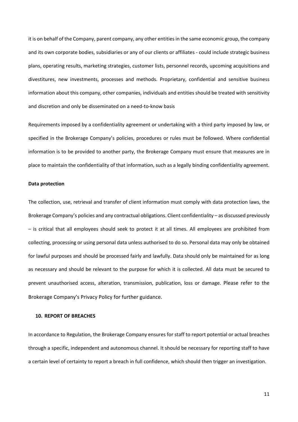it is on behalf of the Company, parent company, any other entities in the same economic group, the company and its own corporate bodies, subsidiaries or any of our clients or affiliates - could include strategic business plans, operating results, marketing strategies, customer lists, personnel records, upcoming acquisitions and divestitures, new investments, processes and methods. Proprietary, confidential and sensitive business information about this company, other companies, individuals and entities should be treated with sensitivity and discretion and only be disseminated on a need-to-know basis

Requirements imposed by a confidentiality agreement or undertaking with a third party imposed by law, or specified in the Brokerage Company's policies, procedures or rules must be followed. Where confidential information is to be provided to another party, the Brokerage Company must ensure that measures are in place to maintain the confidentiality of that information, such as a legally binding confidentiality agreement.

## **Data protection**

The collection, use, retrieval and transfer of client information must comply with data protection laws, the Brokerage Company's policies and any contractual obligations. Client confidentiality – as discussed previously – is critical that all employees should seek to protect it at all times. All employees are prohibited from collecting, processing or using personal data unless authorised to do so. Personal data may only be obtained for lawful purposes and should be processed fairly and lawfully. Data should only be maintained for as long as necessary and should be relevant to the purpose for which it is collected. All data must be secured to prevent unauthorised access, alteration, transmission, publication, loss or damage. Please refer to the Brokerage Company's Privacy Policy for further guidance.

# **10. REPORT OF BREACHES**

In accordance to Regulation, the Brokerage Company ensures for staff to report potential or actual breaches through a specific, independent and autonomous channel. It should be necessary for reporting staff to have a certain level of certainty to report a breach in full confidence, which should then trigger an investigation.